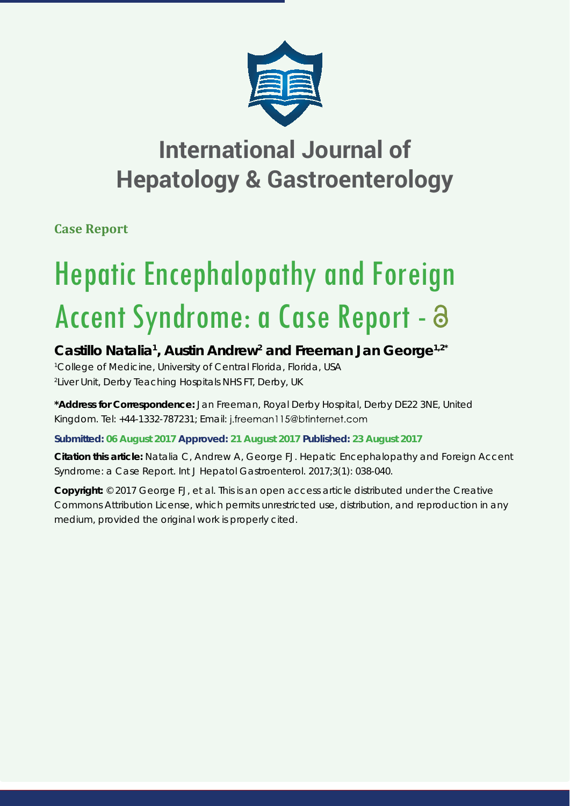

## **International Journal of Hepatology & Gastroenterology**

**Case Report**

# Hepatic Encephalopathy and Foreign Accent Syndrome: a Case Report - a

### Castillo Natalia<sup>1</sup>, Austin Andrew<sup>2</sup> and Freeman Jan George<sup>1,2\*</sup>

*1 College of Medicine, University of Central Florida, Florida, USA 2 Liver Unit, Derby Teaching Hospitals NHS FT, Derby, UK*

**\*Address for Correspondence:** Jan Freeman, Royal Derby Hospital, Derby DE22 3NE, United Kingdom. Tel: +44-1332-787231; Email: j.freeman115@btinternet.com

**Submitted: 06 August 2017 Approved: 21 August 2017 Published: 23 August 2017**

**Citation this article:** Natalia C, Andrew A, George FJ. Hepatic Encephalopathy and Foreign Accent Syndrome: a Case Report. Int J Hepatol Gastroenterol. 2017;3(1): 038-040.

**Copyright:** © 2017 George FJ, et al. This is an open access article distributed under the Creative Commons Attribution License, which permits unrestricted use, distribution, and reproduction in any medium, provided the original work is properly cited.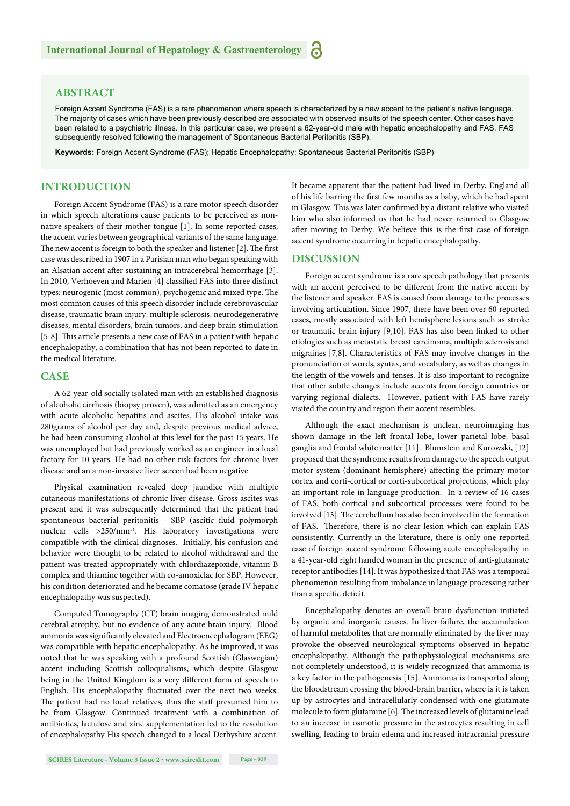#### **ABSTRACT**

Foreign Accent Syndrome (FAS) is a rare phenomenon where speech is characterized by a new accent to the patient's native language. The majority of cases which have been previously described are associated with observed insults of the speech center. Other cases have been related to a psychiatric illness. In this particular case, we present a 62-year-old male with hepatic encephalopathy and FAS. FAS subsequently resolved following the management of Spontaneous Bacterial Peritonitis (SBP).

**Keywords:** Foreign Accent Syndrome (FAS); Hepatic Encephalopathy; Spontaneous Bacterial Peritonitis (SBP)

#### **INTRODUCTION**

Foreign Accent Syndrome (FAS) is a rare motor speech disorder in which speech alterations cause patients to be perceived as nonnative speakers of their mother tongue [1]. In some reported cases, the accent varies between geographical variants of the same language. The new accent is foreign to both the speaker and listener  $[2]$ . The first case was described in 1907 in a Parisian man who began speaking with an Alsatian accent after sustaining an intracerebral hemorrhage [3]. In 2010, Verhoeven and Marien [4] classified FAS into three distinct types: neurogenic (most common), psychogenic and mixed type. The most common causes of this speech disorder include cerebrovascular disease, traumatic brain injury, multiple sclerosis, neurodegenerative diseases, mental disorders, brain tumors, and deep brain stimulation [5-8]. This article presents a new case of FAS in a patient with hepatic encephalopathy, a combination that has not been reported to date in the medical literature.

#### **CASE**

A 62-year-old socially isolated man with an established diagnosis of alcoholic cirrhosis (biopsy proven), was admitted as an emergency with acute alcoholic hepatitis and ascites. His alcohol intake was 280grams of alcohol per day and, despite previous medical advice, he had been consuming alcohol at this level for the past 15 years. He was unemployed but had previously worked as an engineer in a local factory for 10 years. He had no other risk factors for chronic liver disease and an a non-invasive liver screen had been negative

Physical examination revealed deep jaundice with multiple cutaneous manifestations of chronic liver disease. Gross ascites was present and it was subsequently determined that the patient had spontaneous bacterial peritonitis - SBP (ascitic fluid polymorph nuclear cells >250/mm3). His laboratory investigations were compatible with the clinical diagnoses. Initially, his confusion and behavior were thought to be related to alcohol withdrawal and the patient was treated appropriately with chlordiazepoxide, vitamin B complex and thiamine together with co-amoxiclac for SBP. However, his condition deteriorated and he became comatose (grade IV hepatic encephalopathy was suspected).

Computed Tomography (CT) brain imaging demonstrated mild cerebral atrophy, but no evidence of any acute brain injury. Blood ammonia was significantly elevated and Electroencephalogram (EEG) was compatible with hepatic encephalopathy. As he improved, it was noted that he was speaking with a profound Scottish (Glaswegian) accent including Scottish colloquialisms, which despite Glasgow being in the United Kingdom is a very different form of speech to English. His encephalopathy fluctuated over the next two weeks. The patient had no local relatives, thus the staff presumed him to be from Glasgow. Continued treatment with a combination of antibiotics, lactulose and zinc supplementation led to the resolution of encephalopathy His speech changed to a local Derbyshire accent. It became apparent that the patient had lived in Derby, England all of his life barring the first few months as a baby, which he had spent in Glasgow. This was later confirmed by a distant relative who visited him who also informed us that he had never returned to Glasgow after moving to Derby. We believe this is the first case of foreign accent syndrome occurring in hepatic encephalopathy.

#### **DISCUSSION**

Foreign accent syndrome is a rare speech pathology that presents with an accent perceived to be different from the native accent by the listener and speaker. FAS is caused from damage to the processes involving articulation. Since 1907, there have been over 60 reported cases, mostly associated with left hemisphere lesions such as stroke or traumatic brain injury [9,10]. FAS has also been linked to other etiologies such as metastatic breast carcinoma, multiple sclerosis and migraines [7,8]. Characteristics of FAS may involve changes in the pronunciation of words, syntax, and vocabulary, as well as changes in the length of the vowels and tenses. It is also important to recognize that other subtle changes include accents from foreign countries or varying regional dialects. However, patient with FAS have rarely visited the country and region their accent resembles.

Although the exact mechanism is unclear, neuroimaging has shown damage in the left frontal lobe, lower parietal lobe, basal ganglia and frontal white matter [11]. Blumstein and Kurowski, [12] proposed that the syndrome results from damage to the speech output motor system (dominant hemisphere) affecting the primary motor cortex and corti-cortical or corti-subcortical projections, which play an important role in language production. In a review of 16 cases of FAS, both cortical and subcortical processes were found to be involved [13]. The cerebellum has also been involved in the formation of FAS. Therefore, there is no clear lesion which can explain FAS consistently. Currently in the literature, there is only one reported case of foreign accent syndrome following acute encephalopathy in a 41-year-old right handed woman in the presence of anti-glutamate receptor antibodies [14]. It was hypothesized that FAS was a temporal phenomenon resulting from imbalance in language processing rather than a specific deficit.

Encephalopathy denotes an overall brain dysfunction initiated by organic and inorganic causes. In liver failure, the accumulation of harmful metabolites that are normally eliminated by the liver may provoke the observed neurological symptoms observed in hepatic encephalopathy. Although the pathophysiological mechanisms are not completely understood, it is widely recognized that ammonia is a key factor in the pathogenesis [15]. Ammonia is transported along the bloodstream crossing the blood-brain barrier, where is it is taken up by astrocytes and intracellularly condensed with one glutamate molecule to form glutamine [6]. The increased levels of glutamine lead to an increase in osmotic pressure in the astrocytes resulting in cell swelling, leading to brain edema and increased intracranial pressure